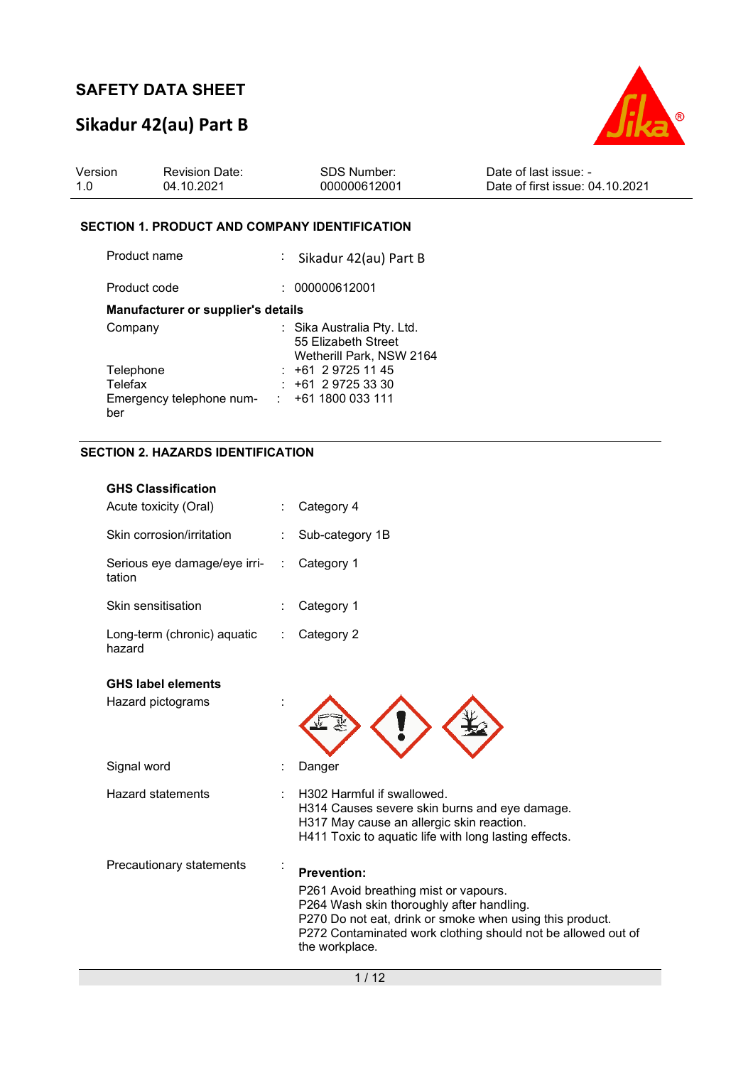## **Sikadur 42(au) Part B**



| Version | <b>Revision Date:</b> | SDS Number:  | Date of last issue:             |
|---------|-----------------------|--------------|---------------------------------|
| 1.0     | 04.10.2021            | 000000612001 | Date of first issue: 04.10.2021 |

#### **SECTION 1. PRODUCT AND COMPANY IDENTIFICATION**

| Product name                       | : Sikadur 42(au) Part B                                                       |
|------------------------------------|-------------------------------------------------------------------------------|
| Product code                       | 000000612001                                                                  |
| Manufacturer or supplier's details |                                                                               |
| Company                            | : Sika Australia Pty. Ltd.<br>55 Elizabeth Street<br>Wetherill Park, NSW 2164 |
| Telephone                          | $: +61297251145$                                                              |
| Telefax                            | $: +61297253330$                                                              |
| Emergency telephone num-<br>ber    | +61 1800 033 111                                                              |

### **SECTION 2. HAZARDS IDENTIFICATION**

|   | Category 4                                                                                                                                                                                                                                             |
|---|--------------------------------------------------------------------------------------------------------------------------------------------------------------------------------------------------------------------------------------------------------|
|   | Sub-category 1B                                                                                                                                                                                                                                        |
| ÷ | Category 1                                                                                                                                                                                                                                             |
|   | Category 1                                                                                                                                                                                                                                             |
|   | Category 2                                                                                                                                                                                                                                             |
|   |                                                                                                                                                                                                                                                        |
|   |                                                                                                                                                                                                                                                        |
|   | Danger                                                                                                                                                                                                                                                 |
|   | H302 Harmful if swallowed.<br>H314 Causes severe skin burns and eye damage.<br>H317 May cause an allergic skin reaction.<br>H411 Toxic to aquatic life with long lasting effects.                                                                      |
|   | <b>Prevention:</b><br>P261 Avoid breathing mist or vapours.<br>P264 Wash skin thoroughly after handling.<br>P270 Do not eat, drink or smoke when using this product.<br>P272 Contaminated work clothing should not be allowed out of<br>the workplace. |
|   |                                                                                                                                                                                                                                                        |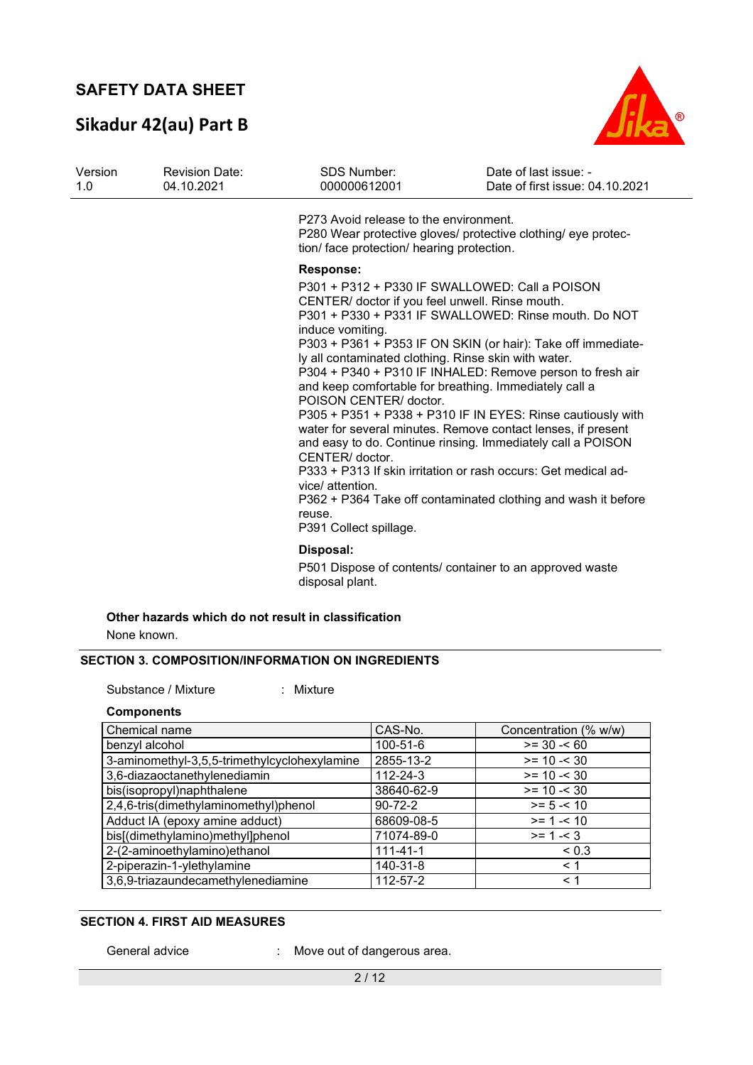## **Sikadur 42(au) Part B**



| Version<br>1.0 | <b>Revision Date:</b><br>04.10.2021 | <b>SDS Number:</b><br>000000612001                                                                                                                                                                                                                                                                                                                                                                                                                                                                                                                                                                                                                                                                                                                                                                                                                                 | Date of last issue: -<br>Date of first issue: 04.10.2021 |
|----------------|-------------------------------------|--------------------------------------------------------------------------------------------------------------------------------------------------------------------------------------------------------------------------------------------------------------------------------------------------------------------------------------------------------------------------------------------------------------------------------------------------------------------------------------------------------------------------------------------------------------------------------------------------------------------------------------------------------------------------------------------------------------------------------------------------------------------------------------------------------------------------------------------------------------------|----------------------------------------------------------|
|                |                                     | P273 Avoid release to the environment.<br>P280 Wear protective gloves/ protective clothing/ eye protec-<br>tion/ face protection/ hearing protection.                                                                                                                                                                                                                                                                                                                                                                                                                                                                                                                                                                                                                                                                                                              |                                                          |
|                |                                     | <b>Response:</b>                                                                                                                                                                                                                                                                                                                                                                                                                                                                                                                                                                                                                                                                                                                                                                                                                                                   |                                                          |
|                |                                     | P301 + P312 + P330 IF SWALLOWED: Call a POISON<br>CENTER/ doctor if you feel unwell. Rinse mouth.<br>P301 + P330 + P331 IF SWALLOWED: Rinse mouth. Do NOT<br>induce vomiting.<br>P303 + P361 + P353 IF ON SKIN (or hair): Take off immediate-<br>ly all contaminated clothing. Rinse skin with water.<br>P304 + P340 + P310 IF INHALED: Remove person to fresh air<br>and keep comfortable for breathing. Immediately call a<br>POISON CENTER/ doctor.<br>P305 + P351 + P338 + P310 IF IN EYES: Rinse cautiously with<br>water for several minutes. Remove contact lenses, if present<br>and easy to do. Continue rinsing. Immediately call a POISON<br>CENTER/ doctor.<br>P333 + P313 If skin irritation or rash occurs: Get medical ad-<br>vice/ attention.<br>P362 + P364 Take off contaminated clothing and wash it before<br>reuse.<br>P391 Collect spillage. |                                                          |
|                |                                     | Disposal:<br>P501 Dispose of contents/ container to an approved waste<br>disposal plant.                                                                                                                                                                                                                                                                                                                                                                                                                                                                                                                                                                                                                                                                                                                                                                           |                                                          |

### **Other hazards which do not result in classification**

None known.

### **SECTION 3. COMPOSITION/INFORMATION ON INGREDIENTS**

Substance / Mixture : Mixture :

#### **Components**

| Chemical name                                | CAS-No.        | Concentration (% w/w) |
|----------------------------------------------|----------------|-----------------------|
| benzyl alcohol                               | 100-51-6       | $>= 30 - 60$          |
| 3-aminomethyl-3,5,5-trimethylcyclohexylamine | 2855-13-2      | $>= 10 - 30$          |
| 3,6-diazaoctanethylenediamin                 | 112-24-3       | $>= 10 - 30$          |
| bis(isopropyl)naphthalene                    | 38640-62-9     | $>= 10 - 30$          |
| 2,4,6-tris(dimethylaminomethyl)phenol        | $90 - 72 - 2$  | $>= 5 - 10$           |
| Adduct IA (epoxy amine adduct)               | 68609-08-5     | $>= 1 - 10$           |
| bis[(dimethylamino)methyl]phenol             | 71074-89-0     | $>= 1 - 3$            |
| 2-(2-aminoethylamino)ethanol                 | $111 - 41 - 1$ | < 0.3                 |
| 2-piperazin-1-ylethylamine                   | 140-31-8       | $\leq 1$              |
| 3,6,9-triazaundecamethylenediamine           | 112-57-2       | $\leq 1$              |

### **SECTION 4. FIRST AID MEASURES**

General advice : Move out of dangerous area.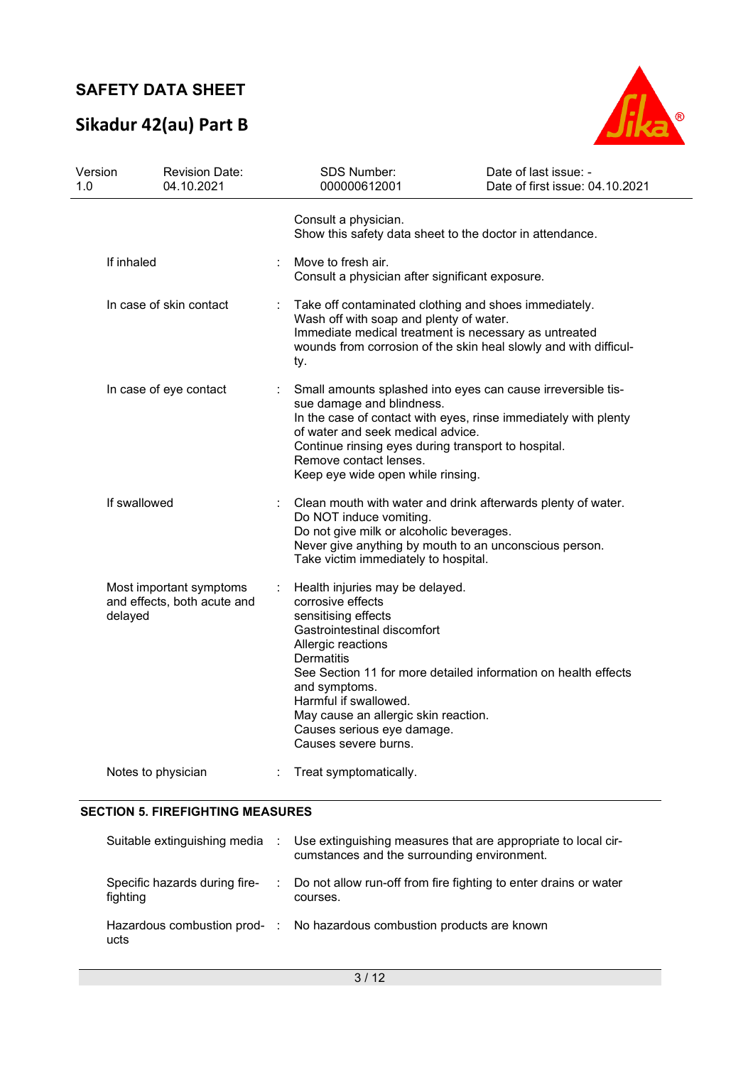# **Sikadur 42(au) Part B**



| Version<br>1.0          |                    | <b>Revision Date:</b><br>04.10.2021                                                                                                                                                                                                                                                                                     | SDS Number:<br>000000612001                                                                                                                                                                                                                                                                                                                              | Date of last issue: -<br>Date of first issue: 04.10.2021 |  |  |
|-------------------------|--------------------|-------------------------------------------------------------------------------------------------------------------------------------------------------------------------------------------------------------------------------------------------------------------------------------------------------------------------|----------------------------------------------------------------------------------------------------------------------------------------------------------------------------------------------------------------------------------------------------------------------------------------------------------------------------------------------------------|----------------------------------------------------------|--|--|
|                         |                    |                                                                                                                                                                                                                                                                                                                         | Consult a physician.<br>Show this safety data sheet to the doctor in attendance.                                                                                                                                                                                                                                                                         |                                                          |  |  |
| If inhaled              |                    | Move to fresh air.<br>Consult a physician after significant exposure.                                                                                                                                                                                                                                                   |                                                                                                                                                                                                                                                                                                                                                          |                                                          |  |  |
| In case of skin contact |                    | Take off contaminated clothing and shoes immediately.<br>Wash off with soap and plenty of water.<br>Immediate medical treatment is necessary as untreated<br>wounds from corrosion of the skin heal slowly and with difficul-<br>ty.                                                                                    |                                                                                                                                                                                                                                                                                                                                                          |                                                          |  |  |
| In case of eye contact  |                    | Small amounts splashed into eyes can cause irreversible tis-<br>sue damage and blindness.<br>In the case of contact with eyes, rinse immediately with plenty<br>of water and seek medical advice.<br>Continue rinsing eyes during transport to hospital.<br>Remove contact lenses.<br>Keep eye wide open while rinsing. |                                                                                                                                                                                                                                                                                                                                                          |                                                          |  |  |
|                         | If swallowed       |                                                                                                                                                                                                                                                                                                                         | Clean mouth with water and drink afterwards plenty of water.<br>Do NOT induce vomiting.<br>Do not give milk or alcoholic beverages.<br>Never give anything by mouth to an unconscious person.<br>Take victim immediately to hospital.                                                                                                                    |                                                          |  |  |
|                         | delayed            | Most important symptoms<br>and effects, both acute and                                                                                                                                                                                                                                                                  | Health injuries may be delayed.<br>corrosive effects<br>sensitising effects<br>Gastrointestinal discomfort<br>Allergic reactions<br>Dermatitis<br>See Section 11 for more detailed information on health effects<br>and symptoms.<br>Harmful if swallowed.<br>May cause an allergic skin reaction.<br>Causes serious eye damage.<br>Causes severe burns. |                                                          |  |  |
|                         | Notes to physician |                                                                                                                                                                                                                                                                                                                         | Treat symptomatically.                                                                                                                                                                                                                                                                                                                                   |                                                          |  |  |

#### **SECTION 5. FIREFIGHTING MEASURES**

|                                           | Suitable extinguishing media : Use extinguishing measures that are appropriate to local cir-<br>cumstances and the surrounding environment. |
|-------------------------------------------|---------------------------------------------------------------------------------------------------------------------------------------------|
| Specific hazards during fire-<br>fighting | : Do not allow run-off from fire fighting to enter drains or water<br>courses.                                                              |
| ucts                                      | Hazardous combustion prod- : No hazardous combustion products are known                                                                     |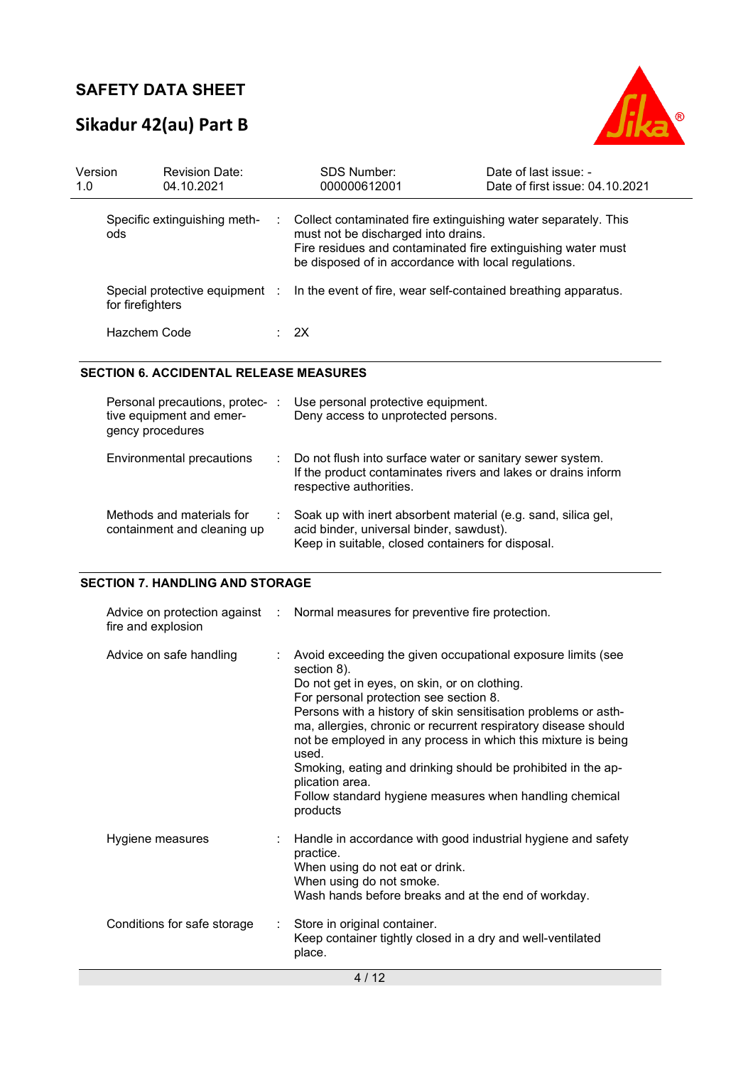## **Sikadur 42(au) Part B**



| Version<br>1.0 |                  | <b>Revision Date:</b><br>04.10.2021 | <b>SDS Number:</b><br>000000612001                                                                                                                                                                                            | Date of last issue: -<br>Date of first issue: 04.10.2021 |
|----------------|------------------|-------------------------------------|-------------------------------------------------------------------------------------------------------------------------------------------------------------------------------------------------------------------------------|----------------------------------------------------------|
|                | ods              | Specific extinguishing meth-        | Collect contaminated fire extinguishing water separately. This<br>must not be discharged into drains.<br>Fire residues and contaminated fire extinguishing water must<br>be disposed of in accordance with local regulations. |                                                          |
|                | for firefighters |                                     | Special protective equipment : In the event of fire, wear self-contained breathing apparatus.                                                                                                                                 |                                                          |
|                | Hazchem Code     |                                     | $\therefore$ 2X                                                                                                                                                                                                               |                                                          |

#### **SECTION 6. ACCIDENTAL RELEASE MEASURES**

| Personal precautions, protec-<br>tive equipment and emer-<br>gency procedures | ÷ | Use personal protective equipment.<br>Deny access to unprotected persons.                                                                                      |
|-------------------------------------------------------------------------------|---|----------------------------------------------------------------------------------------------------------------------------------------------------------------|
| Environmental precautions                                                     |   | : Do not flush into surface water or sanitary sewer system.<br>If the product contaminates rivers and lakes or drains inform<br>respective authorities.        |
| Methods and materials for<br>containment and cleaning up                      |   | Soak up with inert absorbent material (e.g. sand, silica gel,<br>acid binder, universal binder, sawdust).<br>Keep in suitable, closed containers for disposal. |

#### **SECTION 7. HANDLING AND STORAGE**

| fire and explosion          |                             | Advice on protection against : Normal measures for preventive fire protection.                                                                                                                                                                                                                                                                                                                                                                                                                                                               |
|-----------------------------|-----------------------------|----------------------------------------------------------------------------------------------------------------------------------------------------------------------------------------------------------------------------------------------------------------------------------------------------------------------------------------------------------------------------------------------------------------------------------------------------------------------------------------------------------------------------------------------|
| Advice on safe handling     | ÷.                          | Avoid exceeding the given occupational exposure limits (see<br>section 8).<br>Do not get in eyes, on skin, or on clothing.<br>For personal protection see section 8.<br>Persons with a history of skin sensitisation problems or asth-<br>ma, allergies, chronic or recurrent respiratory disease should<br>not be employed in any process in which this mixture is being<br>used.<br>Smoking, eating and drinking should be prohibited in the ap-<br>plication area.<br>Follow standard hygiene measures when handling chemical<br>products |
| Hygiene measures            |                             | Handle in accordance with good industrial hygiene and safety<br>practice.<br>When using do not eat or drink.<br>When using do not smoke.<br>Wash hands before breaks and at the end of workday.                                                                                                                                                                                                                                                                                                                                              |
| Conditions for safe storage | $\mathcal{L}^{\mathcal{L}}$ | Store in original container.<br>Keep container tightly closed in a dry and well-ventilated<br>place.                                                                                                                                                                                                                                                                                                                                                                                                                                         |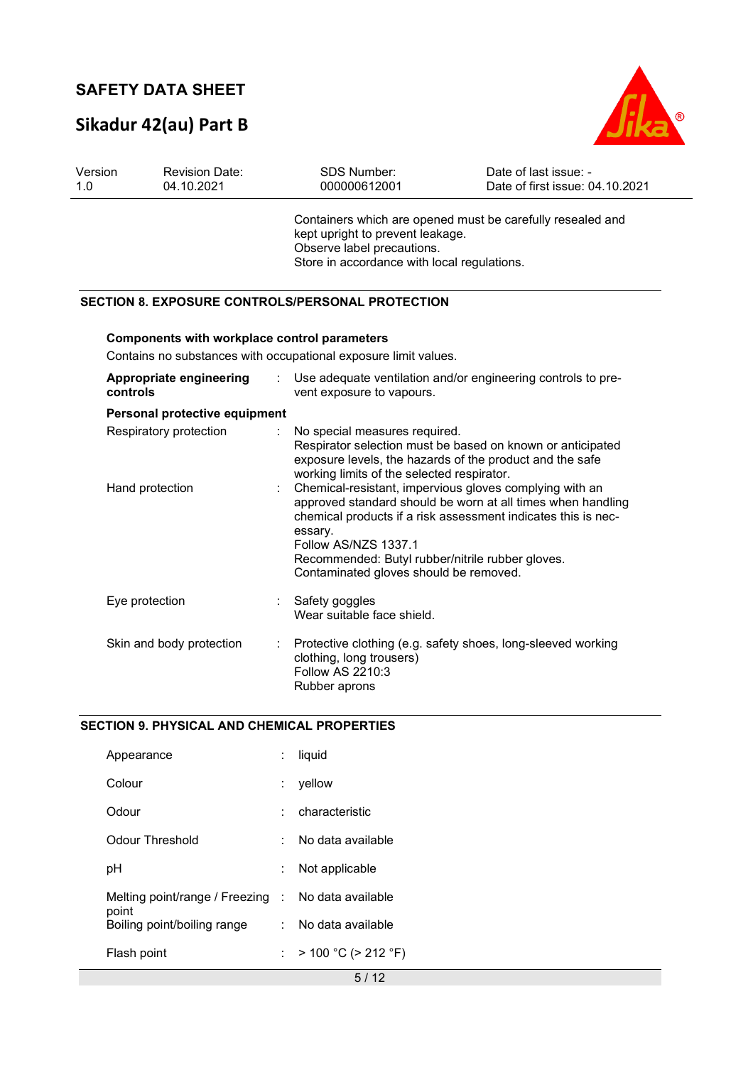# **Sikadur 42(au) Part B**



| Version<br>1.0 |                                           | <b>Revision Date:</b><br>04.10.2021                 |   | SDS Number:<br>000000612001                                                                                                                                                                                                                                                                                                                                                                                                         | Date of last issue: -<br>Date of first issue: 04.10.2021 |
|----------------|-------------------------------------------|-----------------------------------------------------|---|-------------------------------------------------------------------------------------------------------------------------------------------------------------------------------------------------------------------------------------------------------------------------------------------------------------------------------------------------------------------------------------------------------------------------------------|----------------------------------------------------------|
|                |                                           |                                                     |   | Containers which are opened must be carefully resealed and<br>kept upright to prevent leakage.<br>Observe label precautions.<br>Store in accordance with local regulations.                                                                                                                                                                                                                                                         |                                                          |
|                |                                           |                                                     |   | <b>SECTION 8. EXPOSURE CONTROLS/PERSONAL PROTECTION</b>                                                                                                                                                                                                                                                                                                                                                                             |                                                          |
|                |                                           | <b>Components with workplace control parameters</b> |   | Contains no substances with occupational exposure limit values.                                                                                                                                                                                                                                                                                                                                                                     |                                                          |
|                | controls                                  | Appropriate engineering                             | ÷ | Use adequate ventilation and/or engineering controls to pre-<br>vent exposure to vapours.                                                                                                                                                                                                                                                                                                                                           |                                                          |
|                |                                           | Personal protective equipment                       |   |                                                                                                                                                                                                                                                                                                                                                                                                                                     |                                                          |
|                | Respiratory protection<br>Hand protection |                                                     | ÷ | No special measures required.<br>Respirator selection must be based on known or anticipated<br>exposure levels, the hazards of the product and the safe<br>working limits of the selected respirator.<br>Chemical-resistant, impervious gloves complying with an<br>approved standard should be worn at all times when handling<br>chemical products if a risk assessment indicates this is nec-<br>essary.<br>Follow AS/NZS 1337.1 |                                                          |
|                |                                           |                                                     |   | Recommended: Butyl rubber/nitrile rubber gloves.<br>Contaminated gloves should be removed.                                                                                                                                                                                                                                                                                                                                          |                                                          |
|                | Eye protection                            |                                                     |   | Safety goggles<br>Wear suitable face shield.                                                                                                                                                                                                                                                                                                                                                                                        |                                                          |
|                |                                           | Skin and body protection                            |   | Protective clothing (e.g. safety shoes, long-sleeved working<br>clothing, long trousers)<br>Follow AS 2210:3<br>Rubber aprons                                                                                                                                                                                                                                                                                                       |                                                          |

### **SECTION 9. PHYSICAL AND CHEMICAL PROPERTIES**

| Appearance                                                  |    | liquid                    |
|-------------------------------------------------------------|----|---------------------------|
| Colour                                                      |    | yellow                    |
| Odour                                                       |    | characteristic            |
| Odour Threshold                                             |    | No data available         |
| рH                                                          |    | Not applicable            |
| Melting point/range / Freezing : No data available<br>point |    |                           |
| Boiling point/boiling range                                 |    | : No data available       |
| Flash point                                                 | t. | $> 100 °C$ ( $> 212 °F$ ) |
|                                                             |    | $-11$                     |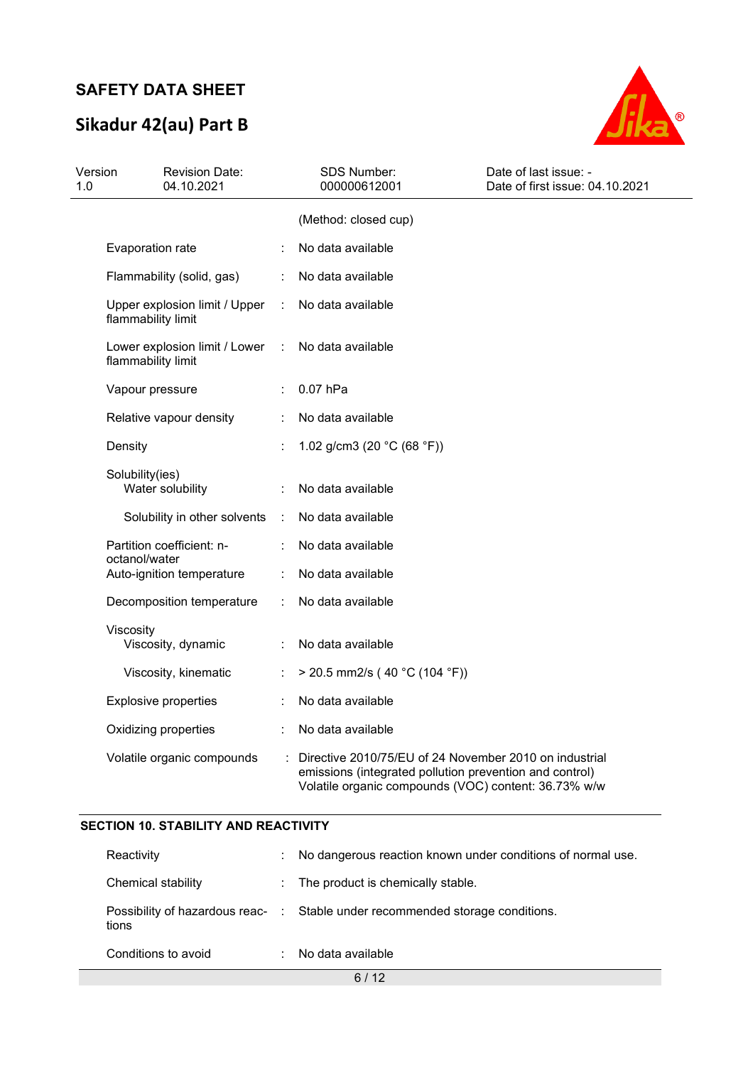# **Sikadur 42(au) Part B**



| Version<br>1.0 |                    | <b>Revision Date:</b><br>04.10.2021 |                      | <b>SDS Number:</b><br>000000612001                                                                                                                                        | Date of last issue: -<br>Date of first issue: 04.10.2021 |
|----------------|--------------------|-------------------------------------|----------------------|---------------------------------------------------------------------------------------------------------------------------------------------------------------------------|----------------------------------------------------------|
|                |                    |                                     |                      | (Method: closed cup)                                                                                                                                                      |                                                          |
|                | Evaporation rate   |                                     |                      | No data available                                                                                                                                                         |                                                          |
|                |                    | Flammability (solid, gas)           | ÷.                   | No data available                                                                                                                                                         |                                                          |
|                | flammability limit | Upper explosion limit / Upper       |                      | No data available                                                                                                                                                         |                                                          |
|                | flammability limit | Lower explosion limit / Lower       | $\ddot{\phantom{a}}$ | No data available                                                                                                                                                         |                                                          |
|                | Vapour pressure    |                                     |                      | 0.07 hPa                                                                                                                                                                  |                                                          |
|                |                    | Relative vapour density             |                      | No data available                                                                                                                                                         |                                                          |
|                | Density            |                                     |                      | 1.02 g/cm3 (20 $°C$ (68 °F))                                                                                                                                              |                                                          |
|                | Solubility(ies)    | Water solubility                    |                      | No data available                                                                                                                                                         |                                                          |
|                |                    | Solubility in other solvents        | $\mathbb{R}^n$       | No data available                                                                                                                                                         |                                                          |
|                | octanol/water      | Partition coefficient: n-           |                      | No data available                                                                                                                                                         |                                                          |
|                |                    | Auto-ignition temperature           |                      | No data available                                                                                                                                                         |                                                          |
|                |                    | Decomposition temperature           |                      | No data available                                                                                                                                                         |                                                          |
|                | Viscosity          | Viscosity, dynamic                  |                      | No data available                                                                                                                                                         |                                                          |
|                |                    | Viscosity, kinematic                |                      | $>$ 20.5 mm2/s (40 °C (104 °F))                                                                                                                                           |                                                          |
|                |                    | <b>Explosive properties</b>         |                      | No data available                                                                                                                                                         |                                                          |
|                |                    | Oxidizing properties                |                      | No data available                                                                                                                                                         |                                                          |
|                |                    | Volatile organic compounds          |                      | Directive 2010/75/EU of 24 November 2010 on industrial<br>emissions (integrated pollution prevention and control)<br>Volatile organic compounds (VOC) content: 36.73% w/w |                                                          |

#### **SECTION 10. STABILITY AND REACTIVITY**

| Reactivity          | ÷. | No dangerous reaction known under conditions of normal use.                   |
|---------------------|----|-------------------------------------------------------------------------------|
| Chemical stability  |    | : The product is chemically stable.                                           |
| tions               |    | Possibility of hazardous reac- : Stable under recommended storage conditions. |
| Conditions to avoid |    | No data available                                                             |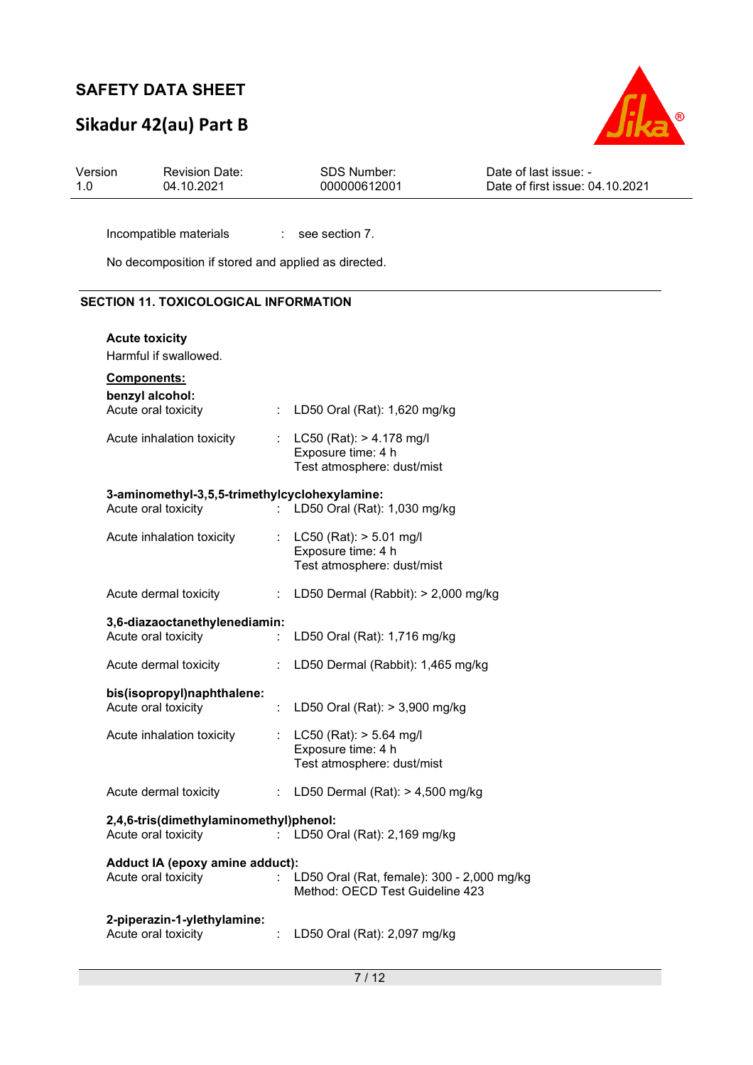## **Sikadur 42(au) Part B**



Incompatible materials : see section 7.

No decomposition if stored and applied as directed.

### **SECTION 11. TOXICOLOGICAL INFORMATION**

| <b>Acute toxicity</b>                                                |                              |                                                                                  |
|----------------------------------------------------------------------|------------------------------|----------------------------------------------------------------------------------|
| Harmful if swallowed.                                                |                              |                                                                                  |
| Components:<br>benzyl alcohol:<br>Acute oral toxicity                | $\mathcal{L}_{\mathrm{max}}$ | LD50 Oral (Rat): 1,620 mg/kg                                                     |
| Acute inhalation toxicity                                            | t in                         | $LC50$ (Rat): $> 4.178$ mg/l<br>Exposure time: 4 h<br>Test atmosphere: dust/mist |
| 3-aminomethyl-3,5,5-trimethylcyclohexylamine:<br>Acute oral toxicity | t.                           | LD50 Oral (Rat): 1,030 mg/kg                                                     |
| Acute inhalation toxicity                                            |                              | : LC50 (Rat): $> 5.01$ mg/l<br>Exposure time: 4 h<br>Test atmosphere: dust/mist  |
| Acute dermal toxicity                                                | ÷.                           | LD50 Dermal (Rabbit): > 2,000 mg/kg                                              |
| 3,6-diazaoctanethylenediamin:<br>Acute oral toxicity                 |                              | LD50 Oral (Rat): 1,716 mg/kg                                                     |
| Acute dermal toxicity                                                | ÷                            | LD50 Dermal (Rabbit): 1,465 mg/kg                                                |
| bis(isopropyl)naphthalene:<br>Acute oral toxicity                    | $\mathcal{L}^{\mathcal{L}}$  | LD50 Oral (Rat): > 3,900 mg/kg                                                   |
| Acute inhalation toxicity                                            |                              | LC50 (Rat): > 5.64 mg/l<br>Exposure time: 4 h<br>Test atmosphere: dust/mist      |
| Acute dermal toxicity                                                | ÷                            | LD50 Dermal (Rat): $> 4,500$ mg/kg                                               |
| 2,4,6-tris(dimethylaminomethyl)phenol:<br>Acute oral toxicity        |                              | LD50 Oral (Rat): 2,169 mg/kg                                                     |
| Adduct IA (epoxy amine adduct):<br>Acute oral toxicity               |                              | LD50 Oral (Rat, female): 300 - 2,000 mg/kg<br>Method: OECD Test Guideline 423    |
| 2-piperazin-1-ylethylamine:<br>Acute oral toxicity                   |                              | LD50 Oral (Rat): 2,097 mg/kg                                                     |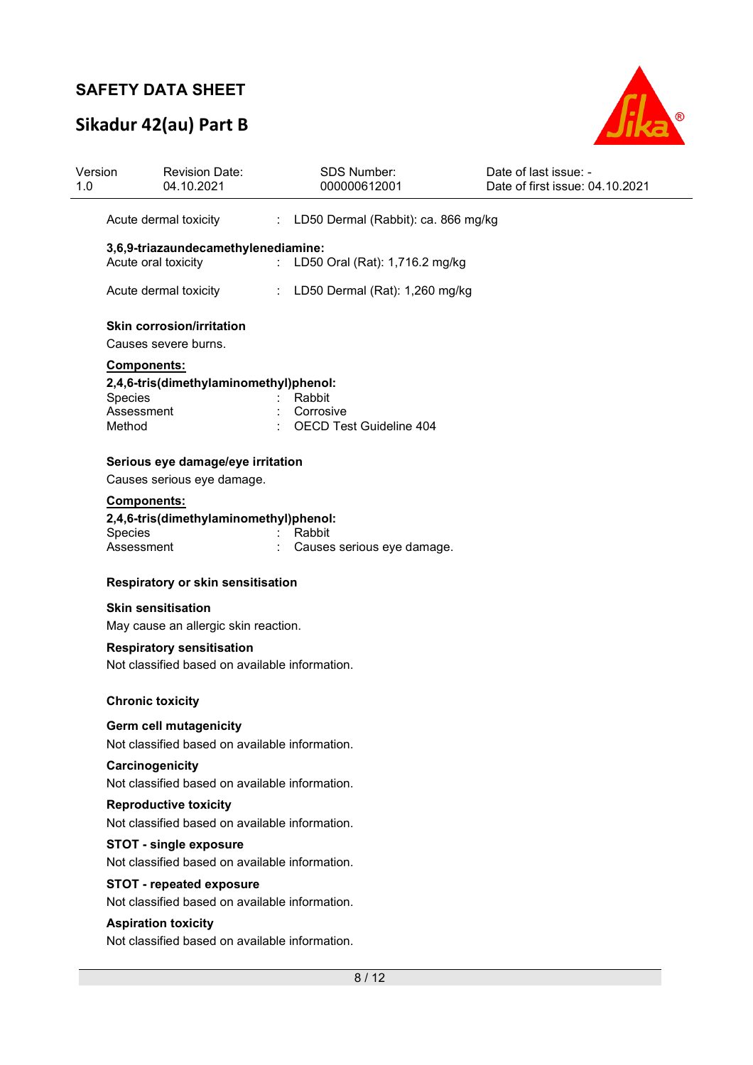# **Sikadur 42(au) Part B**



|                                                            | <b>Revision Date:</b><br>04.10.2021                                                | <b>SDS Number:</b><br>000000612001          | Date of last issue: -<br>Date of first issue: 04.10.2021 |  |  |  |  |
|------------------------------------------------------------|------------------------------------------------------------------------------------|---------------------------------------------|----------------------------------------------------------|--|--|--|--|
|                                                            | Acute dermal toxicity                                                              | : LD50 Dermal (Rabbit): ca. 866 mg/kg       |                                                          |  |  |  |  |
| 3,6,9-triazaundecamethylenediamine:<br>Acute oral toxicity |                                                                                    | LD50 Oral (Rat): 1,716.2 mg/kg              |                                                          |  |  |  |  |
|                                                            | Acute dermal toxicity                                                              | LD50 Dermal (Rat): 1,260 mg/kg              |                                                          |  |  |  |  |
|                                                            | <b>Skin corrosion/irritation</b><br>Causes severe burns.                           |                                             |                                                          |  |  |  |  |
|                                                            | Components:                                                                        |                                             |                                                          |  |  |  |  |
| Species                                                    | 2,4,6-tris(dimethylaminomethyl)phenol:                                             | Rabbit                                      |                                                          |  |  |  |  |
| Assessment<br>Method                                       |                                                                                    | Corrosive<br><b>OECD Test Guideline 404</b> |                                                          |  |  |  |  |
|                                                            | Serious eye damage/eye irritation<br>Causes serious eye damage.                    |                                             |                                                          |  |  |  |  |
|                                                            | <b>Components:</b>                                                                 |                                             |                                                          |  |  |  |  |
| Species                                                    | 2,4,6-tris(dimethylaminomethyl)phenol:                                             | Rabbit                                      |                                                          |  |  |  |  |
| Assessment                                                 |                                                                                    | Causes serious eye damage.                  |                                                          |  |  |  |  |
|                                                            | Respiratory or skin sensitisation                                                  |                                             |                                                          |  |  |  |  |
|                                                            | <b>Skin sensitisation</b>                                                          |                                             |                                                          |  |  |  |  |
|                                                            | May cause an allergic skin reaction.                                               |                                             |                                                          |  |  |  |  |
|                                                            | <b>Respiratory sensitisation</b><br>Not classified based on available information. |                                             |                                                          |  |  |  |  |
|                                                            | <b>Chronic toxicity</b>                                                            |                                             |                                                          |  |  |  |  |
|                                                            | <b>Germ cell mutagenicity</b><br>Not classified based on available information.    |                                             |                                                          |  |  |  |  |
|                                                            | Carcinogenicity<br>Not classified based on available information.                  |                                             |                                                          |  |  |  |  |
|                                                            | <b>Reproductive toxicity</b><br>Not classified based on available information.     |                                             |                                                          |  |  |  |  |
|                                                            | <b>STOT - single exposure</b>                                                      |                                             |                                                          |  |  |  |  |
|                                                            | Not classified based on available information.                                     |                                             |                                                          |  |  |  |  |
| <b>STOT - repeated exposure</b>                            |                                                                                    |                                             |                                                          |  |  |  |  |
|                                                            | Not classified based on available information.                                     |                                             |                                                          |  |  |  |  |
|                                                            | <b>Aspiration toxicity</b><br>Not classified based on available information.       |                                             |                                                          |  |  |  |  |
|                                                            |                                                                                    |                                             |                                                          |  |  |  |  |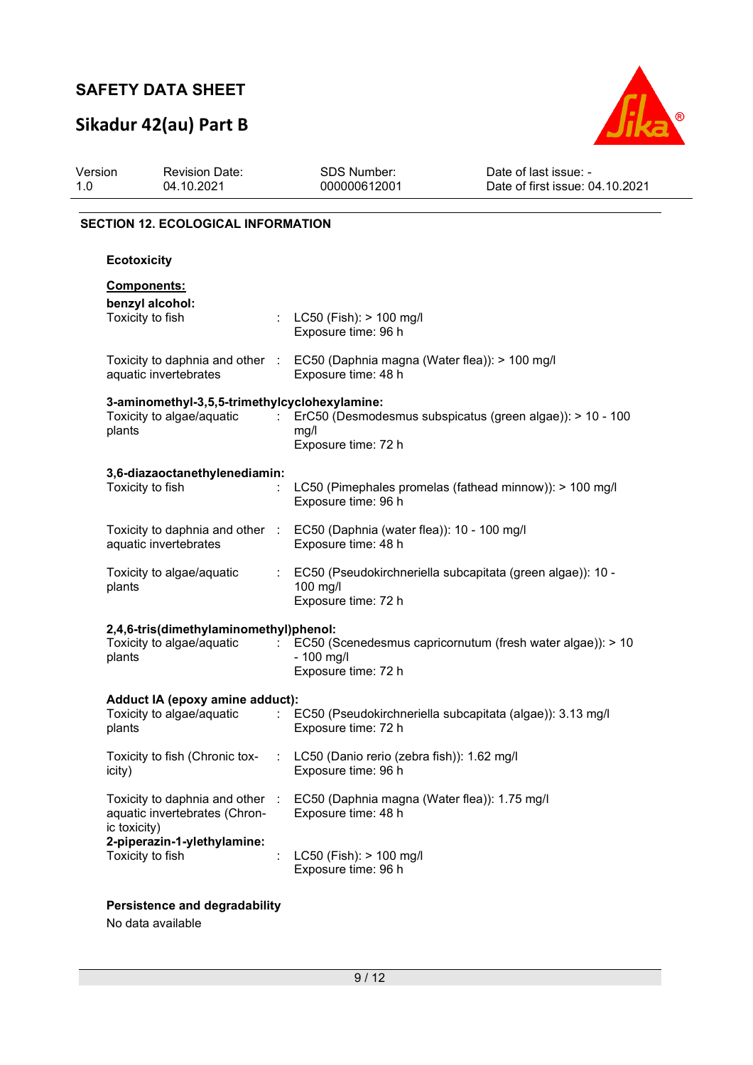# **Sikadur 42(au) Part B**



| Version<br>1.0     | <b>Revision Date:</b><br>04.10.2021                                                                    | <b>SDS Number:</b><br>000000612001                                |                                            | Date of last issue: -<br>Date of first issue: 04.10.2021   |
|--------------------|--------------------------------------------------------------------------------------------------------|-------------------------------------------------------------------|--------------------------------------------|------------------------------------------------------------|
|                    | <b>SECTION 12. ECOLOGICAL INFORMATION</b>                                                              |                                                                   |                                            |                                                            |
| <b>Ecotoxicity</b> |                                                                                                        |                                                                   |                                            |                                                            |
|                    | Components:<br>benzyl alcohol:<br>Toxicity to fish                                                     | LC50 (Fish): $> 100$ mg/l<br>Exposure time: 96 h                  |                                            |                                                            |
|                    | Toxicity to daphnia and other : EC50 (Daphnia magna (Water flea)): > 100 mg/l<br>aquatic invertebrates | Exposure time: 48 h                                               |                                            |                                                            |
| plants             | 3-aminomethyl-3,5,5-trimethylcyclohexylamine:<br>Toxicity to algae/aquatic                             | mg/l<br>Exposure time: 72 h                                       |                                            | ErC50 (Desmodesmus subspicatus (green algae)): > 10 - 100  |
|                    | 3,6-diazaoctanethylenediamin:<br>Toxicity to fish                                                      | Exposure time: 96 h                                               |                                            | LC50 (Pimephales promelas (fathead minnow)): > 100 mg/l    |
|                    | Toxicity to daphnia and other :<br>aquatic invertebrates                                               | EC50 (Daphnia (water flea)): 10 - 100 mg/l<br>Exposure time: 48 h |                                            |                                                            |
| plants             | Toxicity to algae/aquatic                                                                              | 100 mg/l<br>Exposure time: 72 h                                   |                                            | EC50 (Pseudokirchneriella subcapitata (green algae)): 10 - |
| plants             | 2,4,6-tris(dimethylaminomethyl)phenol:<br>Toxicity to algae/aquatic                                    | - 100 mg/l<br>Exposure time: 72 h                                 |                                            | EC50 (Scenedesmus capricornutum (fresh water algae)): > 10 |
|                    | Adduct IA (epoxy amine adduct):<br>Toxicity to algae/aquatic<br>plants                                 |                                                                   | Exposure time: 72 h                        | EC50 (Pseudokirchneriella subcapitata (algae)): 3.13 mg/l  |
| icity)             | Toxicity to fish (Chronic tox-                                                                         | Exposure time: 96 h                                               | LC50 (Danio rerio (zebra fish)): 1.62 mg/l |                                                            |
| ic toxicity)       | Toxicity to daphnia and other<br>aquatic invertebrates (Chron-                                         | $\sim$<br>Exposure time: 48 h                                     |                                            | EC50 (Daphnia magna (Water flea)): 1.75 mg/l               |
|                    | 2-piperazin-1-ylethylamine:<br>Toxicity to fish                                                        | LC50 (Fish): > 100 mg/l<br>Exposure time: 96 h                    |                                            |                                                            |

**Persistence and degradability** 

No data available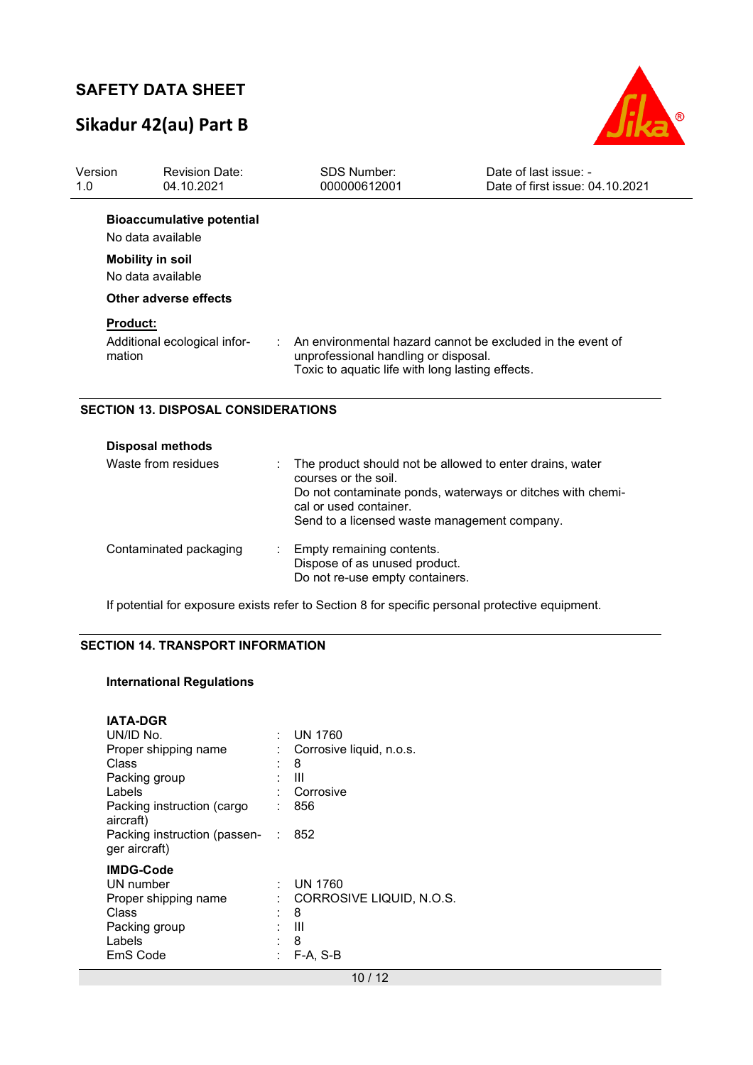## **Sikadur 42(au) Part B**



| Version<br>1.0            | <b>Revision Date:</b><br>04.10.2021                   | <b>SDS Number:</b><br>000000612001                                                       | Date of last issue: -<br>Date of first issue: 04.10.2021   |
|---------------------------|-------------------------------------------------------|------------------------------------------------------------------------------------------|------------------------------------------------------------|
|                           | <b>Bioaccumulative potential</b><br>No data available |                                                                                          |                                                            |
|                           | <b>Mobility in soil</b><br>No data available          |                                                                                          |                                                            |
|                           | Other adverse effects                                 |                                                                                          |                                                            |
| <b>Product:</b><br>mation | Additional ecological infor-                          | unprofessional handling or disposal.<br>Toxic to aquatic life with long lasting effects. | An environmental hazard cannot be excluded in the event of |

#### **SECTION 13. DISPOSAL CONSIDERATIONS**

| <b>Disposal methods</b> |    |                                                                                                                                                                                                                          |
|-------------------------|----|--------------------------------------------------------------------------------------------------------------------------------------------------------------------------------------------------------------------------|
| Waste from residues     | t. | The product should not be allowed to enter drains, water<br>courses or the soil.<br>Do not contaminate ponds, waterways or ditches with chemi-<br>cal or used container.<br>Send to a licensed waste management company. |
| Contaminated packaging  |    | : Empty remaining contents.<br>Dispose of as unused product.<br>Do not re-use empty containers.                                                                                                                          |

If potential for exposure exists refer to Section 8 for specific personal protective equipment.

### **SECTION 14. TRANSPORT INFORMATION**

#### **International Regulations**

| <b>IATA-DGR</b><br>UN/ID No.<br>Proper shipping name<br>Class<br>Packing group<br>Labels<br>Packing instruction (cargo<br>aircraft)<br>Packing instruction (passen-<br>ger aircraft) | t.<br>÷ | UN 1760<br>Corrosive liquid, n.o.s.<br>8<br>Ш<br>Corrosive<br>856<br>852 |
|--------------------------------------------------------------------------------------------------------------------------------------------------------------------------------------|---------|--------------------------------------------------------------------------|
| <b>IMDG-Code</b><br>UN number<br>Proper shipping name<br>Class<br>Packing group<br>Labels<br>EmS Code                                                                                |         | <b>UN 1760</b><br>CORROSIVE LIQUID, N.O.S.<br>8<br>Ш<br>8<br>F-A, S-B    |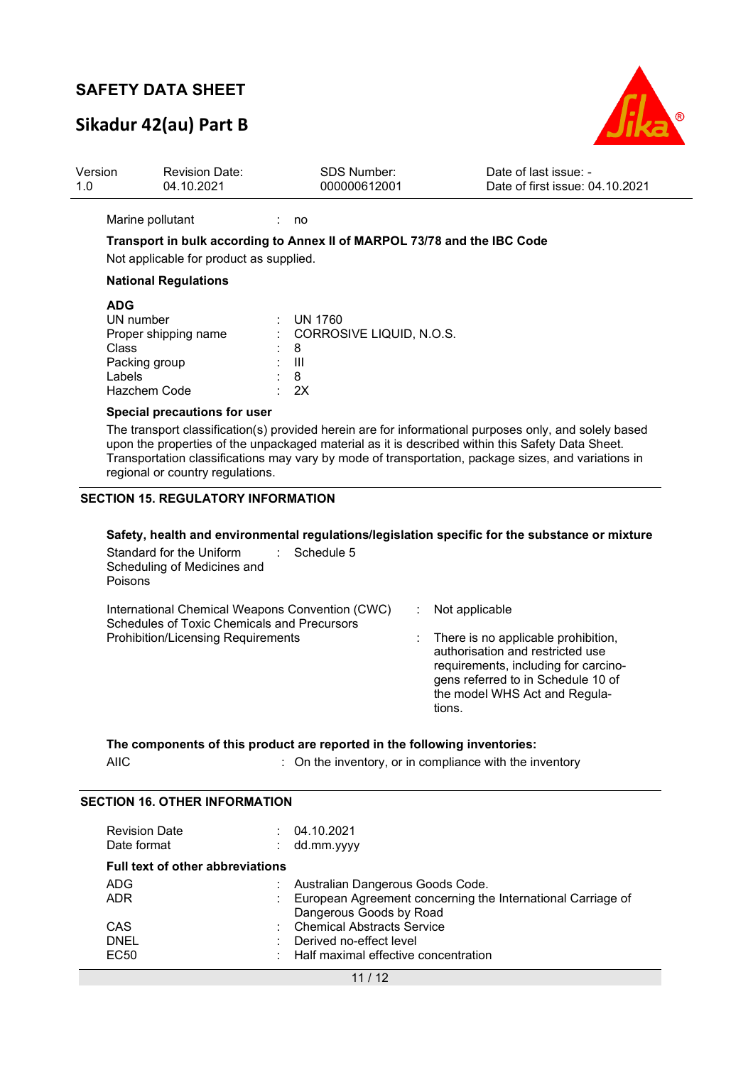# **Sikadur 42(au) Part B**



| Version<br>1.0                                                                                                                                                                                                                                                                                                                                       | <b>Revision Date:</b><br>04.10.2021                                                                                                         |                     | <b>SDS Number:</b><br>000000612001         |                          | Date of last issue: -<br>Date of first issue: 04.10.2021                                                                                                                               |  |  |  |  |
|------------------------------------------------------------------------------------------------------------------------------------------------------------------------------------------------------------------------------------------------------------------------------------------------------------------------------------------------------|---------------------------------------------------------------------------------------------------------------------------------------------|---------------------|--------------------------------------------|--------------------------|----------------------------------------------------------------------------------------------------------------------------------------------------------------------------------------|--|--|--|--|
|                                                                                                                                                                                                                                                                                                                                                      | Marine pollutant<br>Transport in bulk according to Annex II of MARPOL 73/78 and the IBC Code<br>Not applicable for product as supplied.     | no                  |                                            |                          |                                                                                                                                                                                        |  |  |  |  |
|                                                                                                                                                                                                                                                                                                                                                      | <b>National Regulations</b>                                                                                                                 |                     |                                            |                          |                                                                                                                                                                                        |  |  |  |  |
| <b>ADG</b><br><b>Class</b><br>Labels                                                                                                                                                                                                                                                                                                                 | UN number<br>Proper shipping name<br>Packing group<br>Hazchem Code                                                                          | 8<br>III<br>8<br>2X | <b>UN 1760</b><br>CORROSIVE LIQUID, N.O.S. |                          |                                                                                                                                                                                        |  |  |  |  |
|                                                                                                                                                                                                                                                                                                                                                      | Special precautions for user                                                                                                                |                     |                                            |                          |                                                                                                                                                                                        |  |  |  |  |
| The transport classification(s) provided herein are for informational purposes only, and solely based<br>upon the properties of the unpackaged material as it is described within this Safety Data Sheet.<br>Transportation classifications may vary by mode of transportation, package sizes, and variations in<br>regional or country regulations. |                                                                                                                                             |                     |                                            |                          |                                                                                                                                                                                        |  |  |  |  |
|                                                                                                                                                                                                                                                                                                                                                      | <b>SECTION 15. REGULATORY INFORMATION</b>                                                                                                   |                     |                                            |                          |                                                                                                                                                                                        |  |  |  |  |
| Poisons                                                                                                                                                                                                                                                                                                                                              | Standard for the Uniform<br>Scheduling of Medicines and                                                                                     |                     | Schedule 5                                 |                          | Safety, health and environmental regulations/legislation specific for the substance or mixture                                                                                         |  |  |  |  |
|                                                                                                                                                                                                                                                                                                                                                      | International Chemical Weapons Convention (CWC)<br>Schedules of Toxic Chemicals and Precursors<br><b>Prohibition/Licensing Requirements</b> |                     |                                            | Not applicable<br>tions. | There is no applicable prohibition,<br>authorisation and restricted use<br>requirements, including for carcino-<br>gens referred to in Schedule 10 of<br>the model WHS Act and Regula- |  |  |  |  |
|                                                                                                                                                                                                                                                                                                                                                      | The components of this product are reported in the following inventories:                                                                   |                     |                                            |                          |                                                                                                                                                                                        |  |  |  |  |

| <b>AIIC</b> | : On the inventory, or in compliance with the inventory |
|-------------|---------------------------------------------------------|
|             |                                                         |

### **SECTION 16. OTHER INFORMATION**

| <b>Revision Date</b><br>Date format     |   | 04.10.2021<br>dd.mm.yyyy                                    |
|-----------------------------------------|---|-------------------------------------------------------------|
| <b>Full text of other abbreviations</b> |   |                                                             |
| ADG.                                    |   | Australian Dangerous Goods Code.                            |
| <b>ADR</b>                              | ÷ | European Agreement concerning the International Carriage of |
|                                         |   | Dangerous Goods by Road                                     |
| <b>CAS</b>                              |   | : Chemical Abstracts Service                                |
| <b>DNEL</b>                             |   | Derived no-effect level                                     |
| EC <sub>50</sub>                        | ٠ | Half maximal effective concentration                        |
|                                         |   |                                                             |